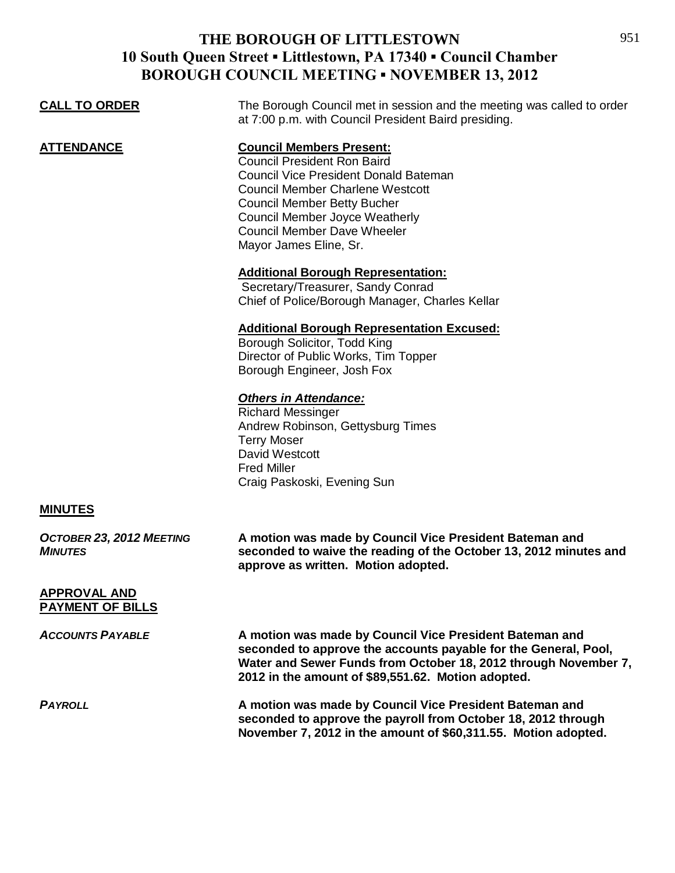## **THE BOROUGH OF LITTLESTOWN 10 South Queen Street ▪ Littlestown, PA 17340 ▪ Council Chamber BOROUGH COUNCIL MEETING ▪ NOVEMBER 13, 2012**

| The Borough Council met in session and the meeting was called to order<br>at 7:00 p.m. with Council President Baird presiding.                                                                                                                                                                           |
|----------------------------------------------------------------------------------------------------------------------------------------------------------------------------------------------------------------------------------------------------------------------------------------------------------|
| <b>Council Members Present:</b><br><b>Council President Ron Baird</b><br><b>Council Vice President Donald Bateman</b><br><b>Council Member Charlene Westcott</b><br><b>Council Member Betty Bucher</b><br><b>Council Member Joyce Weatherly</b><br>Council Member Dave Wheeler<br>Mayor James Eline, Sr. |
| <b>Additional Borough Representation:</b><br>Secretary/Treasurer, Sandy Conrad<br>Chief of Police/Borough Manager, Charles Kellar                                                                                                                                                                        |
| <b>Additional Borough Representation Excused:</b><br>Borough Solicitor, Todd King<br>Director of Public Works, Tim Topper<br>Borough Engineer, Josh Fox                                                                                                                                                  |
| <b>Others in Attendance:</b><br><b>Richard Messinger</b><br>Andrew Robinson, Gettysburg Times<br><b>Terry Moser</b><br>David Westcott<br><b>Fred Miller</b><br>Craig Paskoski, Evening Sun                                                                                                               |
|                                                                                                                                                                                                                                                                                                          |
| A motion was made by Council Vice President Bateman and<br>seconded to waive the reading of the October 13, 2012 minutes and<br>approve as written. Motion adopted.                                                                                                                                      |
|                                                                                                                                                                                                                                                                                                          |
| A motion was made by Council Vice President Bateman and<br>seconded to approve the accounts payable for the General, Pool,<br>Water and Sewer Funds from October 18, 2012 through November 7,<br>2012 in the amount of \$89,551.62. Motion adopted.                                                      |
| A motion was made by Council Vice President Bateman and<br>seconded to approve the payroll from October 18, 2012 through<br>November 7, 2012 in the amount of \$60,311.55. Motion adopted.                                                                                                               |
|                                                                                                                                                                                                                                                                                                          |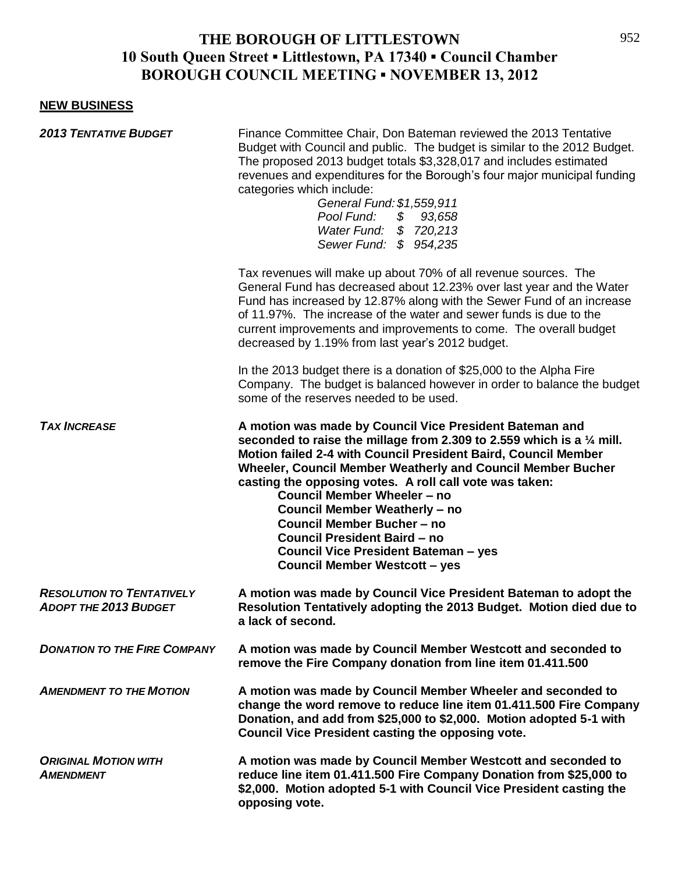## **THE BOROUGH OF LITTLESTOWN 10 South Queen Street ▪ Littlestown, PA 17340 ▪ Council Chamber BOROUGH COUNCIL MEETING ▪ NOVEMBER 13, 2012**

## **NEW BUSINESS**

| <b>2013 TENTATIVE BUDGET</b>                                     | Finance Committee Chair, Don Bateman reviewed the 2013 Tentative<br>Budget with Council and public. The budget is similar to the 2012 Budget.<br>The proposed 2013 budget totals \$3,328,017 and includes estimated<br>revenues and expenditures for the Borough's four major municipal funding<br>categories which include:<br>General Fund: \$1,559,911<br>Pool Fund: \$ 93,658<br>Water Fund: \$720,213<br>Sewer Fund: \$ 954,235                                                                                                                                            |
|------------------------------------------------------------------|---------------------------------------------------------------------------------------------------------------------------------------------------------------------------------------------------------------------------------------------------------------------------------------------------------------------------------------------------------------------------------------------------------------------------------------------------------------------------------------------------------------------------------------------------------------------------------|
|                                                                  | Tax revenues will make up about 70% of all revenue sources. The<br>General Fund has decreased about 12.23% over last year and the Water<br>Fund has increased by 12.87% along with the Sewer Fund of an increase<br>of 11.97%. The increase of the water and sewer funds is due to the<br>current improvements and improvements to come. The overall budget<br>decreased by 1.19% from last year's 2012 budget.                                                                                                                                                                 |
|                                                                  | In the 2013 budget there is a donation of \$25,000 to the Alpha Fire<br>Company. The budget is balanced however in order to balance the budget<br>some of the reserves needed to be used.                                                                                                                                                                                                                                                                                                                                                                                       |
| <b>TAX INCREASE</b>                                              | A motion was made by Council Vice President Bateman and<br>seconded to raise the millage from 2.309 to 2.559 which is a $\frac{1}{4}$ mill.<br>Motion failed 2-4 with Council President Baird, Council Member<br>Wheeler, Council Member Weatherly and Council Member Bucher<br>casting the opposing votes. A roll call vote was taken:<br><b>Council Member Wheeler - no</b><br><b>Council Member Weatherly - no</b><br><b>Council Member Bucher-no</b><br><b>Council President Baird - no</b><br>Council Vice President Bateman - yes<br><b>Council Member Westcott - yes</b> |
| <b>RESOLUTION TO TENTATIVELY</b><br><b>ADOPT THE 2013 BUDGET</b> | A motion was made by Council Vice President Bateman to adopt the<br>Resolution Tentatively adopting the 2013 Budget. Motion died due to<br>a lack of second.                                                                                                                                                                                                                                                                                                                                                                                                                    |
| <b>DONATION TO THE FIRE COMPANY</b>                              | A motion was made by Council Member Westcott and seconded to<br>remove the Fire Company donation from line item 01.411.500                                                                                                                                                                                                                                                                                                                                                                                                                                                      |
| <b>AMENDMENT TO THE MOTION</b>                                   | A motion was made by Council Member Wheeler and seconded to<br>change the word remove to reduce line item 01.411.500 Fire Company<br>Donation, and add from \$25,000 to \$2,000. Motion adopted 5-1 with<br><b>Council Vice President casting the opposing vote.</b>                                                                                                                                                                                                                                                                                                            |
| <b>ORIGINAL MOTION WITH</b><br><b>AMENDMENT</b>                  | A motion was made by Council Member Westcott and seconded to<br>reduce line item 01.411.500 Fire Company Donation from \$25,000 to<br>\$2,000. Motion adopted 5-1 with Council Vice President casting the<br>opposing vote.                                                                                                                                                                                                                                                                                                                                                     |